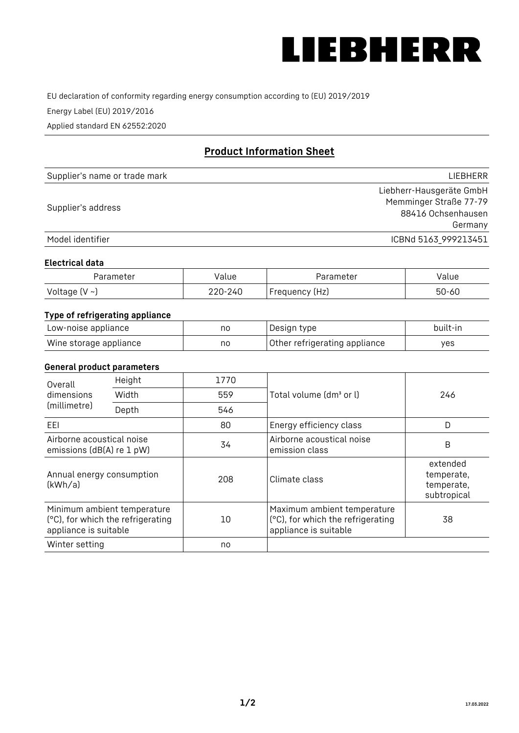

EU declaration of conformity regarding energy consumption according to (EU) 2019/2019

Energy Label (EU) 2019/2016

Applied standard EN 62552:2020

# **Product Information Sheet**

| Supplier's name or trade mark | LIEBHERR                 |
|-------------------------------|--------------------------|
|                               | Liebherr-Hausgeräte GmbH |
| Supplier's address            | Memminger Straße 77-79   |
|                               | 88416 Ochsenhausen       |
|                               | Germany                  |
| Model identifier              | ICBNd 5163_999213451     |

#### **Electrical data**

| Parameter     | value   | Parameter       | Value |
|---------------|---------|-----------------|-------|
| Voltage (V ~) | 220-240 | 'Frequency (Hz) | 50-60 |

### **Type of refrigerating appliance**

| Low-noise appliance    | no | Design type                   | built-in |
|------------------------|----|-------------------------------|----------|
| Wine storage appliance | no | Other refrigerating appliance | yes      |

#### **General product parameters**

| Overall<br>dimensions<br>(millimetre)                  | Height                                                           | 1770 |                                                                                           | 246                                                 |
|--------------------------------------------------------|------------------------------------------------------------------|------|-------------------------------------------------------------------------------------------|-----------------------------------------------------|
|                                                        | Width                                                            | 559  | Total volume (dm <sup>3</sup> or l)                                                       |                                                     |
|                                                        | Depth                                                            | 546  |                                                                                           |                                                     |
| EEL                                                    |                                                                  | 80   | Energy efficiency class                                                                   | D                                                   |
| Airborne acoustical noise<br>emissions (dB(A) re 1 pW) |                                                                  | 34   | Airborne acoustical noise<br>emission class                                               | B                                                   |
| Annual energy consumption<br>(kWh/a)                   |                                                                  | 208  | Climate class                                                                             | extended<br>temperate,<br>temperate,<br>subtropical |
| appliance is suitable                                  | Minimum ambient temperature<br>(°C), for which the refrigerating | 10   | Maximum ambient temperature<br>(°C), for which the refrigerating<br>appliance is suitable | 38                                                  |
| Winter setting                                         |                                                                  | no   |                                                                                           |                                                     |